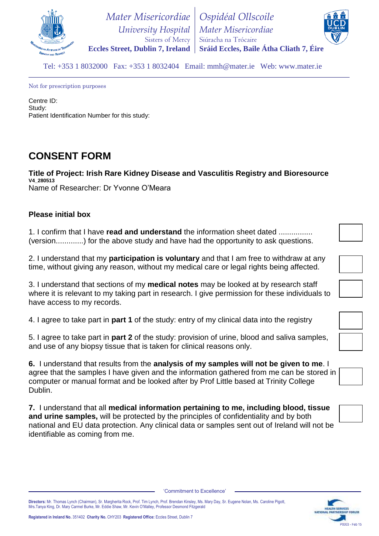

 *University Hospital* **Eccles Street, Dublin 7, Ireland** *Mater Misericordiae* Sisters of Mercy *Ospidéal Ollscoile Mater Misericordiae* Siúracha na Trócaire **Sráid Eccles, Baile Átha Cliath 7, Éire**



Tel: +353 1 8032000 Fax: +353 1 8032404 Email: mmh@mater.ie Web: www.mater.ie

Not for prescription purposes

Centre ID: Study: Patient Identification Number for this study:

## **CONSENT FORM**

**Title of Project: Irish Rare Kidney Disease and Vasculitis Registry and Bioresource V4\_280513** Name of Researcher: Dr Yvonne O'Meara

## **Please initial box**

1. I confirm that I have **read and understand** the information sheet dated ................ (version.............) for the above study and have had the opportunity to ask questions.

2. I understand that my **participation is voluntary** and that I am free to withdraw at any time, without giving any reason, without my medical care or legal rights being affected.

3. I understand that sections of my **medical notes** may be looked at by research staff where it is relevant to my taking part in research. I give permission for these individuals to have access to my records.

4. I agree to take part in **part 1** of the study: entry of my clinical data into the registry

5. I agree to take part in **part 2** of the study: provision of urine, blood and saliva samples, and use of any biopsy tissue that is taken for clinical reasons only.

**6.** I understand that results from the **analysis of my samples will not be given to me**. I agree that the samples I have given and the information gathered from me can be stored in computer or manual format and be looked after by Prof Little based at Trinity College Dublin.

**7.** I understand that all **medical information pertaining to me, including blood, tissue and urine samples,** will be protected by the principles of confidentiality and by both national and EU data protection. Any clinical data or samples sent out of Ireland will not be identifiable as coming from me.





'Commitment to Excellence'

**Directors:** Mr. Thomas Lynch (Chairman), Sr. Margherita Rock, Prof. Tim Lynch, Prof. Brendan Kinsley, Ms. Mary Day, Sr. Eugene Nolan, Ms. Caroline Pigott, Mrs.Tanya King, Dr. Mary Carmel Burke, Mr. Eddie Shaw, Mr. Kevin O'Malley, Professor Desmond Fitzgerald